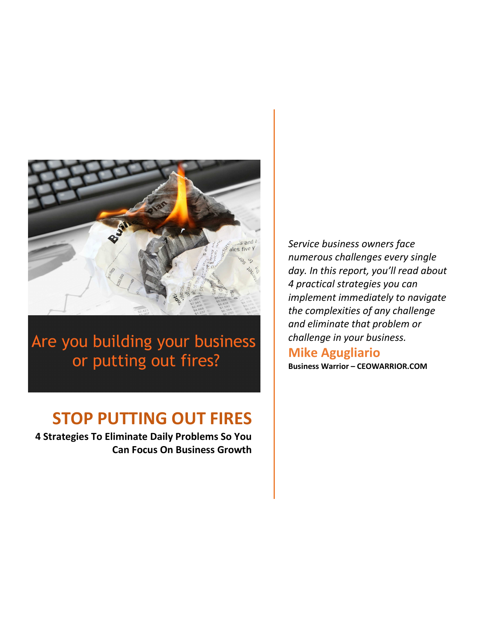

Are you building your business or putting out fires?

# **STOP PUTTING OUT FIRES**

**4 Strategies To Eliminate Daily Problems So You Can Focus On Business Growth** *Service business owners face numerous challenges every single day. In this report, you'll read about 4 practical strategies you can implement immediately to navigate the complexities of any challenge and eliminate that problem or challenge in your business.*

## **Mike Agugliario**

**Business Warrior – CEOWARRIOR.COM**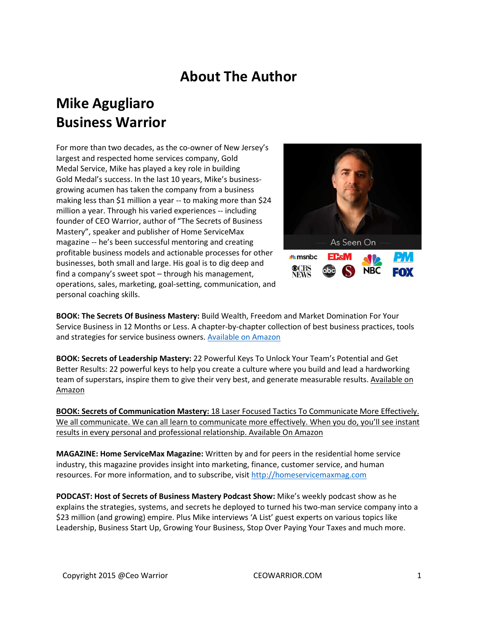## **About The Author**

## **Mike Agugliaro Business Warrior**

For more than two decades, as the co-owner of New Jersey's largest and respected home services company, Gold Medal Service, Mike has played a key role in building Gold Medal's success. In the last 10 years, Mike's businessgrowing acumen has taken the company from a business making less than \$1 million a year -- to making more than \$24 million a year. Through his varied experiences -- including founder of CEO Warrior, author of "The Secrets of Business Mastery", speaker and publisher of Home ServiceMax magazine -- he's been successful mentoring and creating profitable business models and actionable processes for other businesses, both small and large. His goal is to dig deep and find a company's sweet spot – through his management, operations, sales, marketing, goal-setting, communication, and personal coaching skills.



**BOOK: The Secrets Of Business Mastery:** Build Wealth, Freedom and Market Domination For Your Service Business in 12 Months or Less. A chapter-by-chapter collection of best business practices, tools and strategies for service business owners. Available on Amazon

**BOOK: Secrets of Leadership Mastery:** 22 Powerful Keys To Unlock Your Team's Potential and Get Better Results: 22 powerful keys to help you create a culture where you build and lead a hardworking team of superstars, inspire them to give their very best, and generate measurable results. Available on Amazon

**BOOK: Secrets of Communication Mastery:** 18 Laser Focused Tactics To Communicate More Effectively. We all communicate. We can all learn to communicate more effectively. When you do, you'll see instant results in every personal and professional relationship. Available On Amazon

**MAGAZINE: Home ServiceMax Magazine:** Written by and for peers in the residential home service industry, this magazine provides insight into marketing, finance, customer service, and human resources. For more information, and to subscribe, visit http://homeservicemaxmag.com

**PODCAST: Host of Secrets of Business Mastery Podcast Show:** Mike's weekly podcast show as he explains the strategies, systems, and secrets he deployed to turned his two-man service company into a \$23 million (and growing) empire. Plus Mike interviews 'A List' guest experts on various topics like Leadership, Business Start Up, Growing Your Business, Stop Over Paying Your Taxes and much more.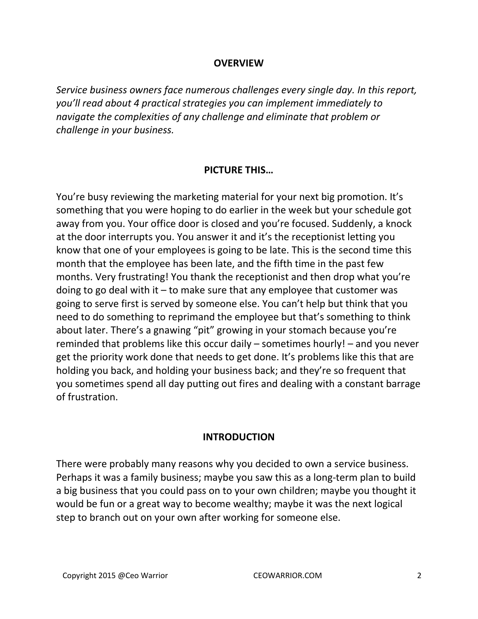#### **OVERVIEW**

*Service business owners face numerous challenges every single day. In this report, you'll read about 4 practical strategies you can implement immediately to navigate the complexities of any challenge and eliminate that problem or challenge in your business.* 

#### **PICTURE THIS…**

You're busy reviewing the marketing material for your next big promotion. It's something that you were hoping to do earlier in the week but your schedule got away from you. Your office door is closed and you're focused. Suddenly, a knock at the door interrupts you. You answer it and it's the receptionist letting you know that one of your employees is going to be late. This is the second time this month that the employee has been late, and the fifth time in the past few months. Very frustrating! You thank the receptionist and then drop what you're doing to go deal with it  $-$  to make sure that any employee that customer was going to serve first is served by someone else. You can't help but think that you need to do something to reprimand the employee but that's something to think about later. There's a gnawing "pit" growing in your stomach because you're reminded that problems like this occur daily – sometimes hourly! – and you never get the priority work done that needs to get done. It's problems like this that are holding you back, and holding your business back; and they're so frequent that you sometimes spend all day putting out fires and dealing with a constant barrage of frustration.

#### **INTRODUCTION**

There were probably many reasons why you decided to own a service business. Perhaps it was a family business; maybe you saw this as a long-term plan to build a big business that you could pass on to your own children; maybe you thought it would be fun or a great way to become wealthy; maybe it was the next logical step to branch out on your own after working for someone else.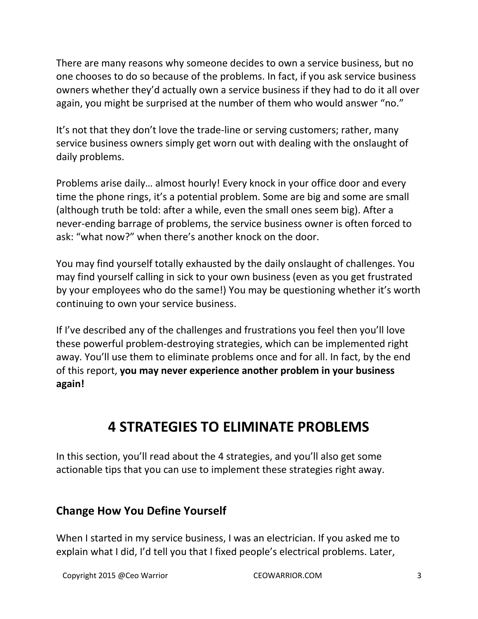There are many reasons why someone decides to own a service business, but no one chooses to do so because of the problems. In fact, if you ask service business owners whether they'd actually own a service business if they had to do it all over again, you might be surprised at the number of them who would answer "no."

It's not that they don't love the trade-line or serving customers; rather, many service business owners simply get worn out with dealing with the onslaught of daily problems.

Problems arise daily… almost hourly! Every knock in your office door and every time the phone rings, it's a potential problem. Some are big and some are small (although truth be told: after a while, even the small ones seem big). After a never-ending barrage of problems, the service business owner is often forced to ask: "what now?" when there's another knock on the door.

You may find yourself totally exhausted by the daily onslaught of challenges. You may find yourself calling in sick to your own business (even as you get frustrated by your employees who do the same!) You may be questioning whether it's worth continuing to own your service business.

If I've described any of the challenges and frustrations you feel then you'll love these powerful problem-destroying strategies, which can be implemented right away. You'll use them to eliminate problems once and for all. In fact, by the end of this report, **you may never experience another problem in your business again!** 

## **4 STRATEGIES TO ELIMINATE PROBLEMS**

In this section, you'll read about the 4 strategies, and you'll also get some actionable tips that you can use to implement these strategies right away.

#### **Change How You Define Yourself**

When I started in my service business, I was an electrician. If you asked me to explain what I did, I'd tell you that I fixed people's electrical problems. Later,

Copyright 2015 @Ceo Warrior **CEOWARRIOR.COM** 3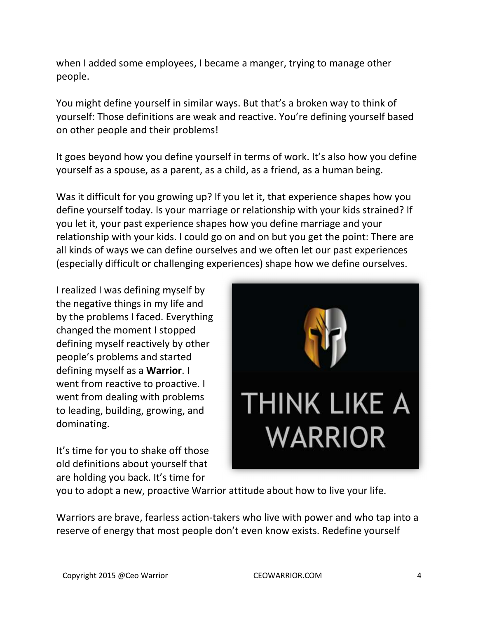when I added some employees, I became a manger, trying to manage other people.

You might define yourself in similar ways. But that's a broken way to think of yourself: Those definitions are weak and reactive. You're defining yourself based on other people and their problems!

It goes beyond how you define yourself in terms of work. It's also how you define yourself as a spouse, as a parent, as a child, as a friend, as a human being.

Was it difficult for you growing up? If you let it, that experience shapes how you define yourself today. Is your marriage or relationship with your kids strained? If you let it, your past experience shapes how you define marriage and your relationship with your kids. I could go on and on but you get the point: There are all kinds of ways we can define ourselves and we often let our past experiences (especially difficult or challenging experiences) shape how we define ourselves.

I realized I was defining myself by the negative things in my life and by the problems I faced. Everything changed the moment I stopped defining myself reactively by other people's problems and started defining myself as a **Warrior**. I went from reactive to proactive. I went from dealing with problems to leading, building, growing, and dominating.

It's time for you to shake off those old definitions about yourself that are holding you back. It's time for



you to adopt a new, proactive Warrior attitude about how to live your life.

Warriors are brave, fearless action-takers who live with power and who tap into a reserve of energy that most people don't even know exists. Redefine yourself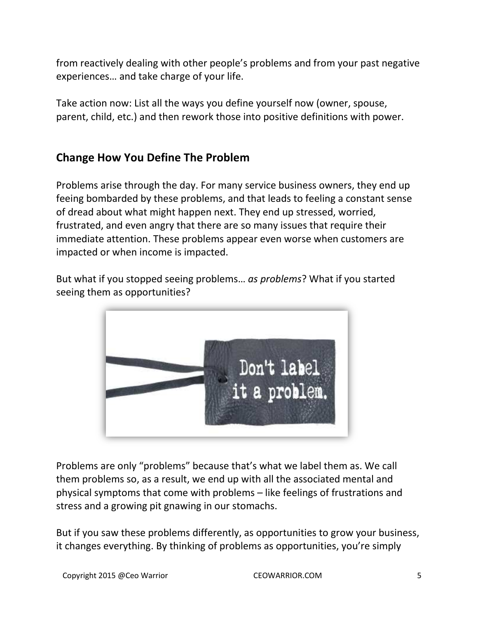from reactively dealing with other people's problems and from your past negative experiences… and take charge of your life.

Take action now: List all the ways you define yourself now (owner, spouse, parent, child, etc.) and then rework those into positive definitions with power.

### **Change How You Define The Problem**

Problems arise through the day. For many service business owners, they end up feeing bombarded by these problems, and that leads to feeling a constant sense of dread about what might happen next. They end up stressed, worried, frustrated, and even angry that there are so many issues that require their immediate attention. These problems appear even worse when customers are impacted or when income is impacted.

But what if you stopped seeing problems… *as problems*? What if you started seeing them as opportunities?



Problems are only "problems" because that's what we label them as. We call them problems so, as a result, we end up with all the associated mental and physical symptoms that come with problems – like feelings of frustrations and stress and a growing pit gnawing in our stomachs.

But if you saw these problems differently, as opportunities to grow your business, it changes everything. By thinking of problems as opportunities, you're simply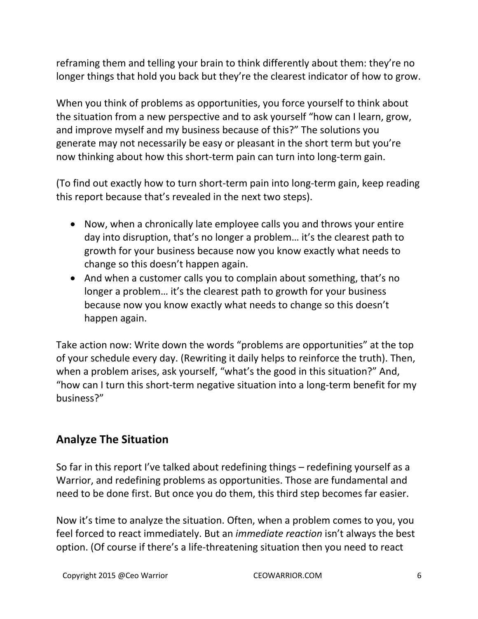reframing them and telling your brain to think differently about them: they're no longer things that hold you back but they're the clearest indicator of how to grow.

When you think of problems as opportunities, you force yourself to think about the situation from a new perspective and to ask yourself "how can I learn, grow, and improve myself and my business because of this?" The solutions you generate may not necessarily be easy or pleasant in the short term but you're now thinking about how this short-term pain can turn into long-term gain.

(To find out exactly how to turn short-term pain into long-term gain, keep reading this report because that's revealed in the next two steps).

- Now, when a chronically late employee calls you and throws your entire day into disruption, that's no longer a problem… it's the clearest path to growth for your business because now you know exactly what needs to change so this doesn't happen again.
- And when a customer calls you to complain about something, that's no longer a problem... it's the clearest path to growth for your business because now you know exactly what needs to change so this doesn't happen again.

Take action now: Write down the words "problems are opportunities" at the top of your schedule every day. (Rewriting it daily helps to reinforce the truth). Then, when a problem arises, ask yourself, "what's the good in this situation?" And, "how can I turn this short-term negative situation into a long-term benefit for my business?"

### **Analyze The Situation**

So far in this report I've talked about redefining things – redefining yourself as a Warrior, and redefining problems as opportunities. Those are fundamental and need to be done first. But once you do them, this third step becomes far easier.

Now it's time to analyze the situation. Often, when a problem comes to you, you feel forced to react immediately. But an *immediate reaction* isn't always the best option. (Of course if there's a life-threatening situation then you need to react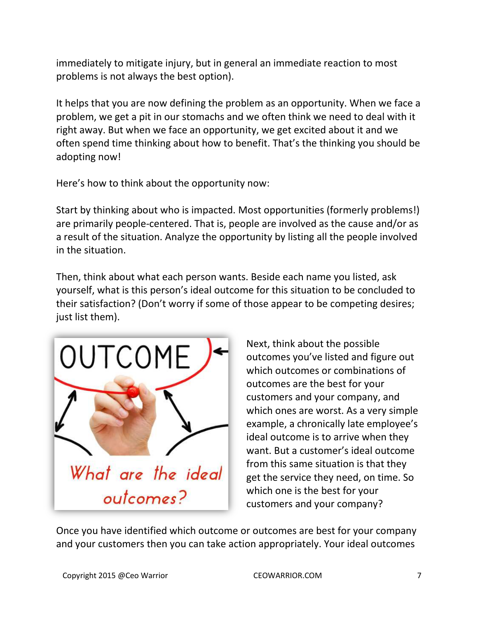immediately to mitigate injury, but in general an immediate reaction to most problems is not always the best option).

It helps that you are now defining the problem as an opportunity. When we face a problem, we get a pit in our stomachs and we often think we need to deal with it right away. But when we face an opportunity, we get excited about it and we often spend time thinking about how to benefit. That's the thinking you should be adopting now!

Here's how to think about the opportunity now:

Start by thinking about who is impacted. Most opportunities (formerly problems!) are primarily people-centered. That is, people are involved as the cause and/or as a result of the situation. Analyze the opportunity by listing all the people involved in the situation.

Then, think about what each person wants. Beside each name you listed, ask yourself, what is this person's ideal outcome for this situation to be concluded to their satisfaction? (Don't worry if some of those appear to be competing desires; just list them).



Next, think about the possible outcomes you've listed and figure out which outcomes or combinations of outcomes are the best for your customers and your company, and which ones are worst. As a very simple example, a chronically late employee's ideal outcome is to arrive when they want. But a customer's ideal outcome from this same situation is that they get the service they need, on time. So which one is the best for your customers and your company?

Once you have identified which outcome or outcomes are best for your company and your customers then you can take action appropriately. Your ideal outcomes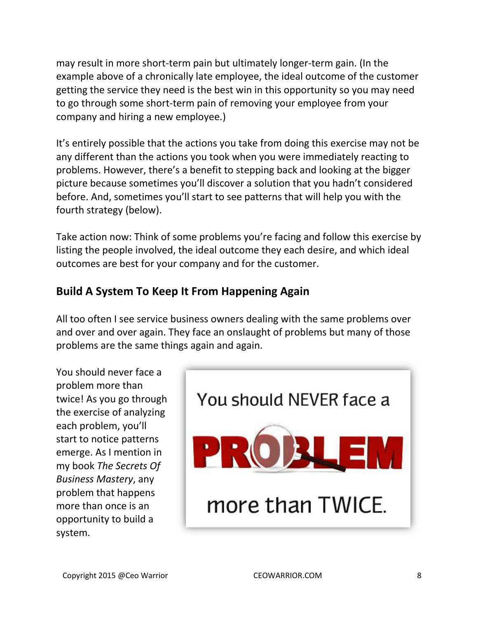may result in more short-term pain but ultimately longer-term gain. (In the example above of a chronically late employee, the ideal outcome of the customer getting the service they need is the best win in this opportunity so you may need to go through some short-term pain of removing your employee from your company and hiring a new employee.)

It's entirely possible that the actions you take from doing this exercise may not be any different than the actions you took when you were immediately reacting to problems. However, there's a benefit to stepping back and looking at the bigger picture because sometimes you'll discover a solution that you hadn't considered before. And, sometimes you'll start to see patterns that will help you with the fourth strategy (below).

Take action now: Think of some problems you're facing and follow this exercise by listing the people involved, the ideal outcome they each desire, and which ideal outcomes are best for your company and for the customer.

### **Build A System To Keep It From Happening Again**

All too often I see service business owners dealing with the same problems over and over and over again. They face an onslaught of problems but many of those problems are the same things again and again.

You should never face a problem more than twice! As you go through the exercise of analyzing each problem, you'll start to notice patterns emerge. As I mention in my book *The Secrets Of Business Mastery*, any problem that happens more than once is an opportunity to build a system.

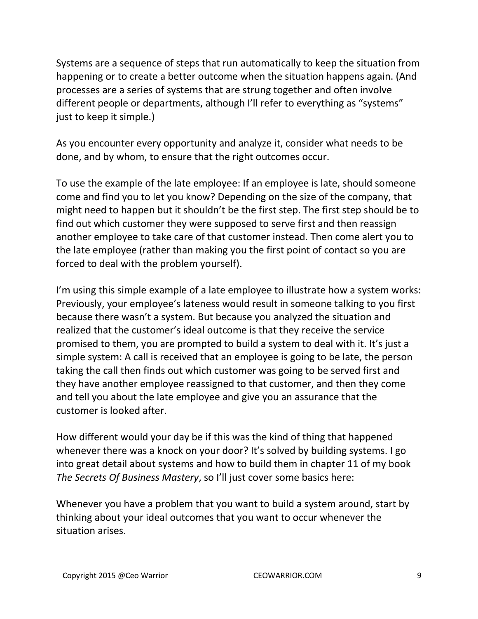Systems are a sequence of steps that run automatically to keep the situation from happening or to create a better outcome when the situation happens again. (And processes are a series of systems that are strung together and often involve different people or departments, although I'll refer to everything as "systems" just to keep it simple.)

As you encounter every opportunity and analyze it, consider what needs to be done, and by whom, to ensure that the right outcomes occur.

To use the example of the late employee: If an employee is late, should someone come and find you to let you know? Depending on the size of the company, that might need to happen but it shouldn't be the first step. The first step should be to find out which customer they were supposed to serve first and then reassign another employee to take care of that customer instead. Then come alert you to the late employee (rather than making you the first point of contact so you are forced to deal with the problem yourself).

I'm using this simple example of a late employee to illustrate how a system works: Previously, your employee's lateness would result in someone talking to you first because there wasn't a system. But because you analyzed the situation and realized that the customer's ideal outcome is that they receive the service promised to them, you are prompted to build a system to deal with it. It's just a simple system: A call is received that an employee is going to be late, the person taking the call then finds out which customer was going to be served first and they have another employee reassigned to that customer, and then they come and tell you about the late employee and give you an assurance that the customer is looked after.

How different would your day be if this was the kind of thing that happened whenever there was a knock on your door? It's solved by building systems. I go into great detail about systems and how to build them in chapter 11 of my book *The Secrets Of Business Mastery*, so I'll just cover some basics here:

Whenever you have a problem that you want to build a system around, start by thinking about your ideal outcomes that you want to occur whenever the situation arises.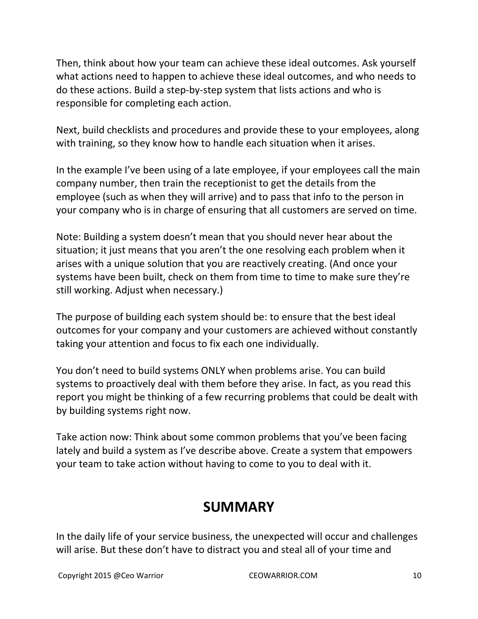Then, think about how your team can achieve these ideal outcomes. Ask yourself what actions need to happen to achieve these ideal outcomes, and who needs to do these actions. Build a step-by-step system that lists actions and who is responsible for completing each action.

Next, build checklists and procedures and provide these to your employees, along with training, so they know how to handle each situation when it arises.

In the example I've been using of a late employee, if your employees call the main company number, then train the receptionist to get the details from the employee (such as when they will arrive) and to pass that info to the person in your company who is in charge of ensuring that all customers are served on time.

Note: Building a system doesn't mean that you should never hear about the situation; it just means that you aren't the one resolving each problem when it arises with a unique solution that you are reactively creating. (And once your systems have been built, check on them from time to time to make sure they're still working. Adjust when necessary.)

The purpose of building each system should be: to ensure that the best ideal outcomes for your company and your customers are achieved without constantly taking your attention and focus to fix each one individually.

You don't need to build systems ONLY when problems arise. You can build systems to proactively deal with them before they arise. In fact, as you read this report you might be thinking of a few recurring problems that could be dealt with by building systems right now.

Take action now: Think about some common problems that you've been facing lately and build a system as I've describe above. Create a system that empowers your team to take action without having to come to you to deal with it.

## **SUMMARY**

In the daily life of your service business, the unexpected will occur and challenges will arise. But these don't have to distract you and steal all of your time and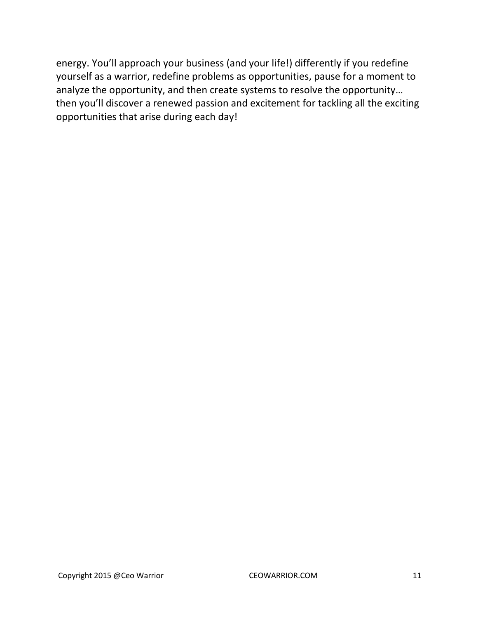energy. You'll approach your business (and your life!) differently if you redefine yourself as a warrior, redefine problems as opportunities, pause for a moment to analyze the opportunity, and then create systems to resolve the opportunity… then you'll discover a renewed passion and excitement for tackling all the exciting opportunities that arise during each day!